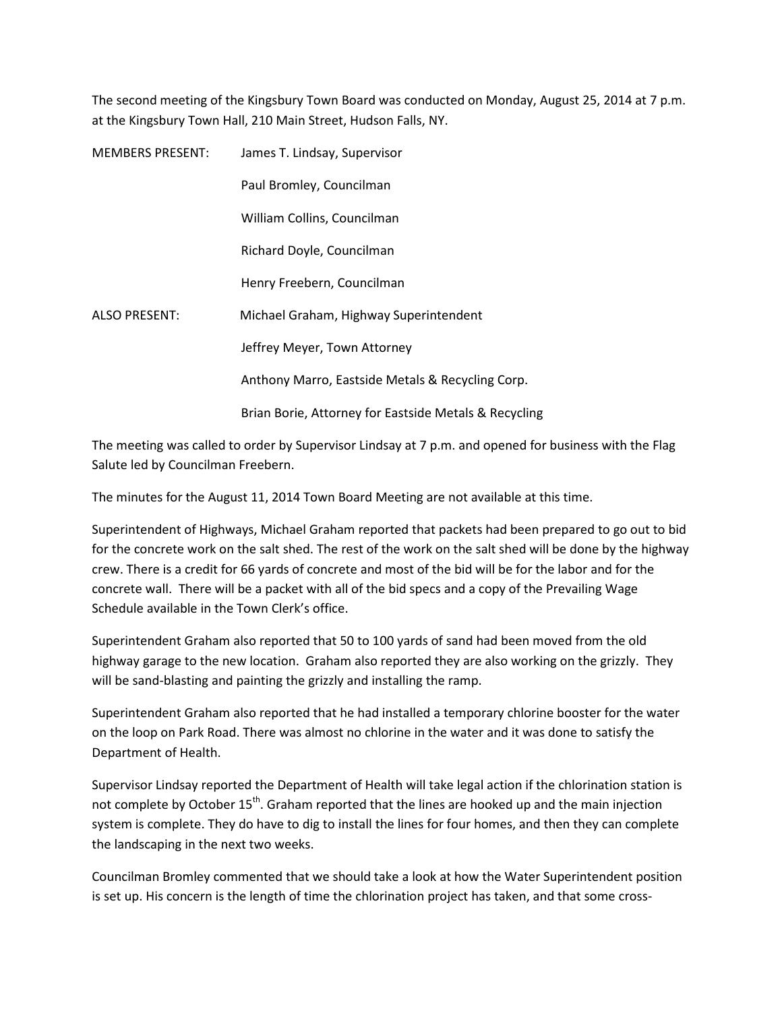The second meeting of the Kingsbury Town Board was conducted on Monday, August 25, 2014 at 7 p.m. at the Kingsbury Town Hall, 210 Main Street, Hudson Falls, NY.

| <b>MEMBERS PRESENT:</b> | James T. Lindsay, Supervisor                          |
|-------------------------|-------------------------------------------------------|
|                         | Paul Bromley, Councilman                              |
|                         | William Collins, Councilman                           |
|                         | Richard Doyle, Councilman                             |
|                         | Henry Freebern, Councilman                            |
| <b>ALSO PRESENT:</b>    | Michael Graham, Highway Superintendent                |
|                         | Jeffrey Meyer, Town Attorney                          |
|                         | Anthony Marro, Eastside Metals & Recycling Corp.      |
|                         | Brian Borie, Attorney for Eastside Metals & Recycling |

The meeting was called to order by Supervisor Lindsay at 7 p.m. and opened for business with the Flag Salute led by Councilman Freebern.

The minutes for the August 11, 2014 Town Board Meeting are not available at this time.

Superintendent of Highways, Michael Graham reported that packets had been prepared to go out to bid for the concrete work on the salt shed. The rest of the work on the salt shed will be done by the highway crew. There is a credit for 66 yards of concrete and most of the bid will be for the labor and for the concrete wall. There will be a packet with all of the bid specs and a copy of the Prevailing Wage Schedule available in the Town Clerk's office.

Superintendent Graham also reported that 50 to 100 yards of sand had been moved from the old highway garage to the new location. Graham also reported they are also working on the grizzly. They will be sand-blasting and painting the grizzly and installing the ramp.

Superintendent Graham also reported that he had installed a temporary chlorine booster for the water on the loop on Park Road. There was almost no chlorine in the water and it was done to satisfy the Department of Health.

Supervisor Lindsay reported the Department of Health will take legal action if the chlorination station is not complete by October 15<sup>th</sup>. Graham reported that the lines are hooked up and the main injection system is complete. They do have to dig to install the lines for four homes, and then they can complete the landscaping in the next two weeks.

Councilman Bromley commented that we should take a look at how the Water Superintendent position is set up. His concern is the length of time the chlorination project has taken, and that some cross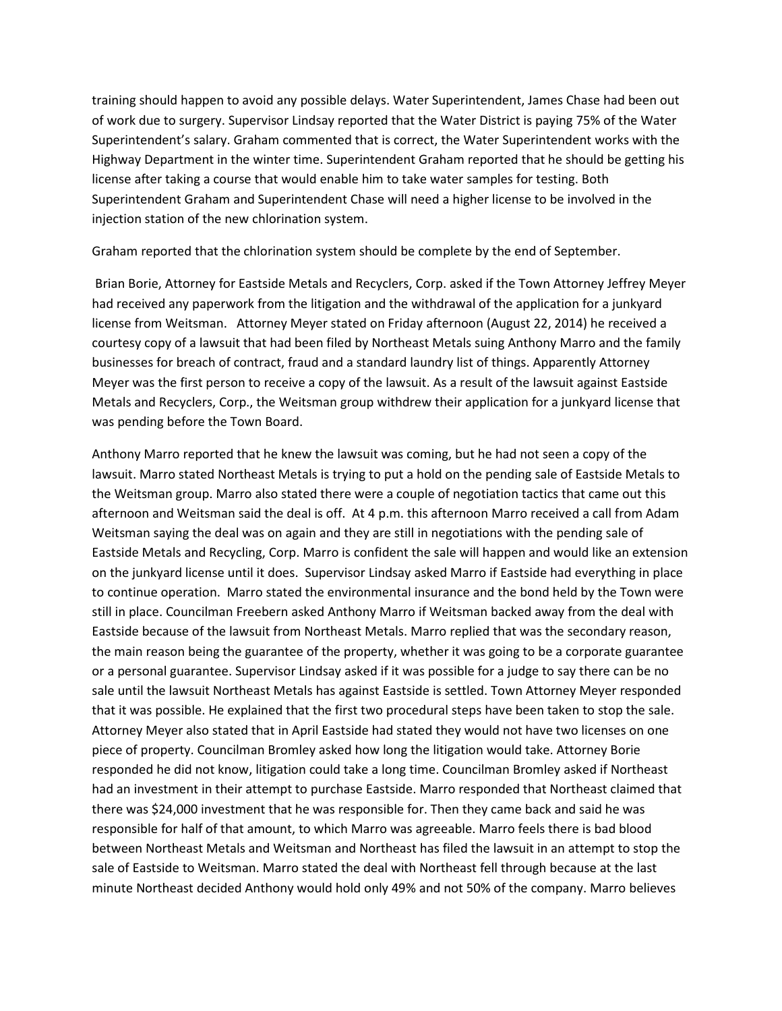training should happen to avoid any possible delays. Water Superintendent, James Chase had been out of work due to surgery. Supervisor Lindsay reported that the Water District is paying 75% of the Water Superintendent's salary. Graham commented that is correct, the Water Superintendent works with the Highway Department in the winter time. Superintendent Graham reported that he should be getting his license after taking a course that would enable him to take water samples for testing. Both Superintendent Graham and Superintendent Chase will need a higher license to be involved in the injection station of the new chlorination system.

Graham reported that the chlorination system should be complete by the end of September.

 Brian Borie, Attorney for Eastside Metals and Recyclers, Corp. asked if the Town Attorney Jeffrey Meyer had received any paperwork from the litigation and the withdrawal of the application for a junkyard license from Weitsman. Attorney Meyer stated on Friday afternoon (August 22, 2014) he received a courtesy copy of a lawsuit that had been filed by Northeast Metals suing Anthony Marro and the family businesses for breach of contract, fraud and a standard laundry list of things. Apparently Attorney Meyer was the first person to receive a copy of the lawsuit. As a result of the lawsuit against Eastside Metals and Recyclers, Corp., the Weitsman group withdrew their application for a junkyard license that was pending before the Town Board.

Anthony Marro reported that he knew the lawsuit was coming, but he had not seen a copy of the lawsuit. Marro stated Northeast Metals is trying to put a hold on the pending sale of Eastside Metals to the Weitsman group. Marro also stated there were a couple of negotiation tactics that came out this afternoon and Weitsman said the deal is off. At 4 p.m. this afternoon Marro received a call from Adam Weitsman saying the deal was on again and they are still in negotiations with the pending sale of Eastside Metals and Recycling, Corp. Marro is confident the sale will happen and would like an extension on the junkyard license until it does. Supervisor Lindsay asked Marro if Eastside had everything in place to continue operation. Marro stated the environmental insurance and the bond held by the Town were still in place. Councilman Freebern asked Anthony Marro if Weitsman backed away from the deal with Eastside because of the lawsuit from Northeast Metals. Marro replied that was the secondary reason, the main reason being the guarantee of the property, whether it was going to be a corporate guarantee or a personal guarantee. Supervisor Lindsay asked if it was possible for a judge to say there can be no sale until the lawsuit Northeast Metals has against Eastside is settled. Town Attorney Meyer responded that it was possible. He explained that the first two procedural steps have been taken to stop the sale. Attorney Meyer also stated that in April Eastside had stated they would not have two licenses on one piece of property. Councilman Bromley asked how long the litigation would take. Attorney Borie responded he did not know, litigation could take a long time. Councilman Bromley asked if Northeast had an investment in their attempt to purchase Eastside. Marro responded that Northeast claimed that there was \$24,000 investment that he was responsible for. Then they came back and said he was responsible for half of that amount, to which Marro was agreeable. Marro feels there is bad blood between Northeast Metals and Weitsman and Northeast has filed the lawsuit in an attempt to stop the sale of Eastside to Weitsman. Marro stated the deal with Northeast fell through because at the last minute Northeast decided Anthony would hold only 49% and not 50% of the company. Marro believes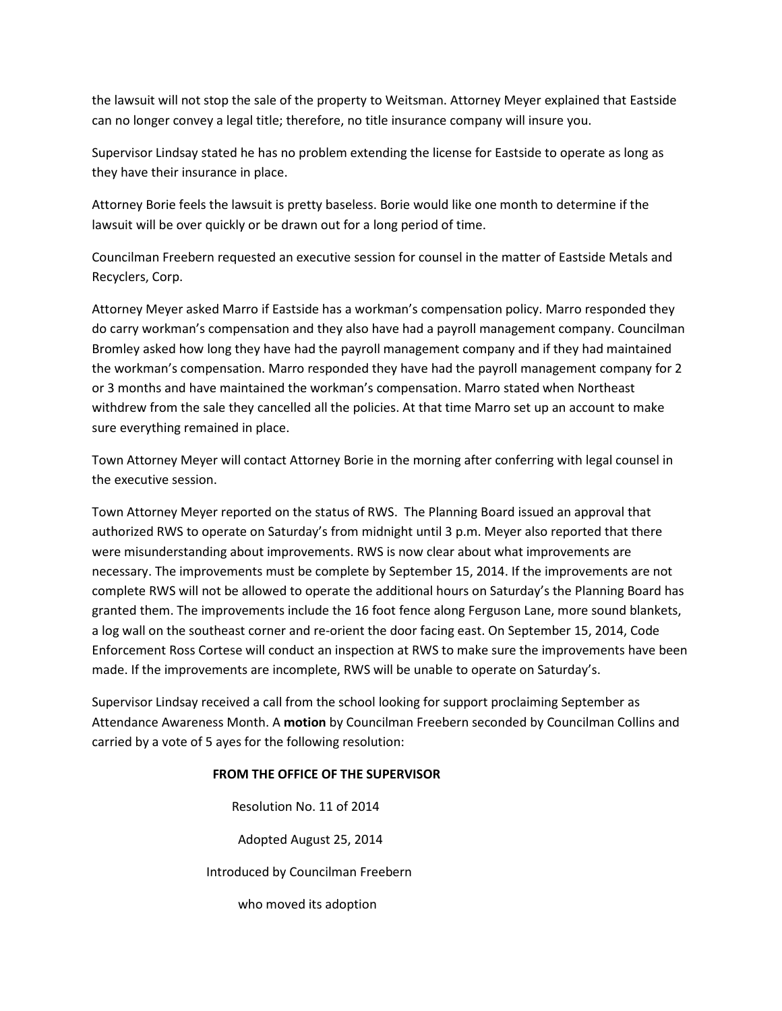the lawsuit will not stop the sale of the property to Weitsman. Attorney Meyer explained that Eastside can no longer convey a legal title; therefore, no title insurance company will insure you.

Supervisor Lindsay stated he has no problem extending the license for Eastside to operate as long as they have their insurance in place.

Attorney Borie feels the lawsuit is pretty baseless. Borie would like one month to determine if the lawsuit will be over quickly or be drawn out for a long period of time.

Councilman Freebern requested an executive session for counsel in the matter of Eastside Metals and Recyclers, Corp.

Attorney Meyer asked Marro if Eastside has a workman's compensation policy. Marro responded they do carry workman's compensation and they also have had a payroll management company. Councilman Bromley asked how long they have had the payroll management company and if they had maintained the workman's compensation. Marro responded they have had the payroll management company for 2 or 3 months and have maintained the workman's compensation. Marro stated when Northeast withdrew from the sale they cancelled all the policies. At that time Marro set up an account to make sure everything remained in place.

Town Attorney Meyer will contact Attorney Borie in the morning after conferring with legal counsel in the executive session.

Town Attorney Meyer reported on the status of RWS. The Planning Board issued an approval that authorized RWS to operate on Saturday's from midnight until 3 p.m. Meyer also reported that there were misunderstanding about improvements. RWS is now clear about what improvements are necessary. The improvements must be complete by September 15, 2014. If the improvements are not complete RWS will not be allowed to operate the additional hours on Saturday's the Planning Board has granted them. The improvements include the 16 foot fence along Ferguson Lane, more sound blankets, a log wall on the southeast corner and re-orient the door facing east. On September 15, 2014, Code Enforcement Ross Cortese will conduct an inspection at RWS to make sure the improvements have been made. If the improvements are incomplete, RWS will be unable to operate on Saturday's.

Supervisor Lindsay received a call from the school looking for support proclaiming September as Attendance Awareness Month. A motion by Councilman Freebern seconded by Councilman Collins and carried by a vote of 5 ayes for the following resolution:

### FROM THE OFFICE OF THE SUPERVISOR

 Resolution No. 11 of 2014 Adopted August 25, 2014 Introduced by Councilman Freebern who moved its adoption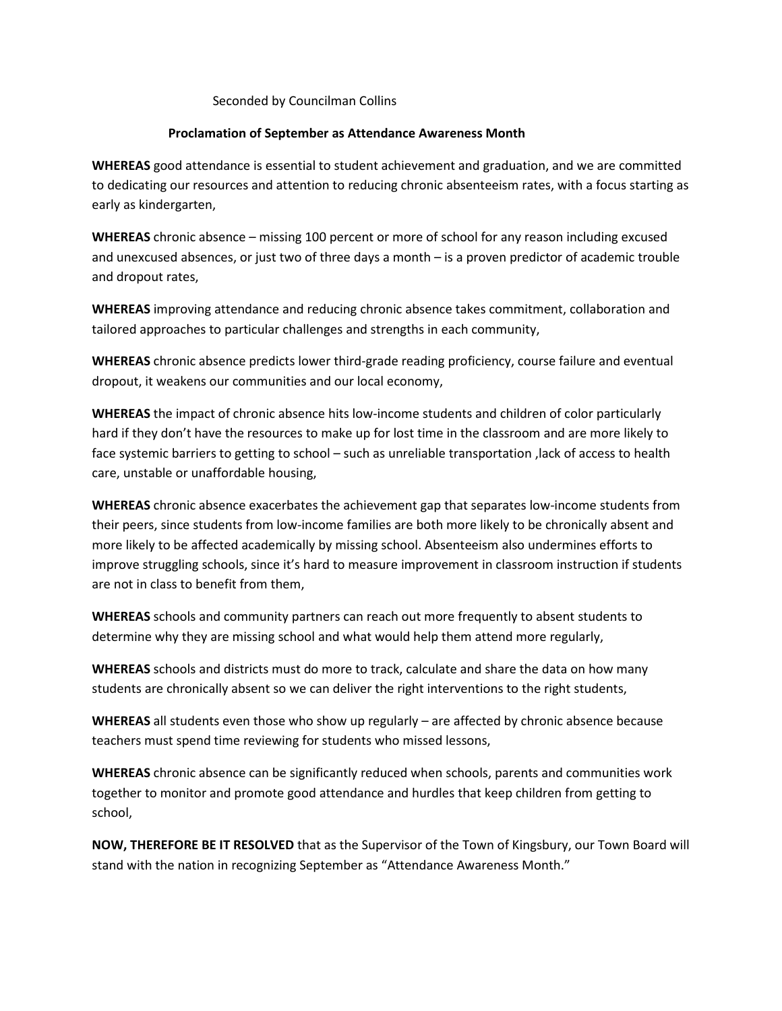#### Seconded by Councilman Collins

### Proclamation of September as Attendance Awareness Month

WHEREAS good attendance is essential to student achievement and graduation, and we are committed to dedicating our resources and attention to reducing chronic absenteeism rates, with a focus starting as early as kindergarten,

WHEREAS chronic absence – missing 100 percent or more of school for any reason including excused and unexcused absences, or just two of three days a month – is a proven predictor of academic trouble and dropout rates,

WHEREAS improving attendance and reducing chronic absence takes commitment, collaboration and tailored approaches to particular challenges and strengths in each community,

WHEREAS chronic absence predicts lower third-grade reading proficiency, course failure and eventual dropout, it weakens our communities and our local economy,

WHEREAS the impact of chronic absence hits low-income students and children of color particularly hard if they don't have the resources to make up for lost time in the classroom and are more likely to face systemic barriers to getting to school – such as unreliable transportation ,lack of access to health care, unstable or unaffordable housing,

WHEREAS chronic absence exacerbates the achievement gap that separates low-income students from their peers, since students from low-income families are both more likely to be chronically absent and more likely to be affected academically by missing school. Absenteeism also undermines efforts to improve struggling schools, since it's hard to measure improvement in classroom instruction if students are not in class to benefit from them,

WHEREAS schools and community partners can reach out more frequently to absent students to determine why they are missing school and what would help them attend more regularly,

WHEREAS schools and districts must do more to track, calculate and share the data on how many students are chronically absent so we can deliver the right interventions to the right students,

WHEREAS all students even those who show up regularly – are affected by chronic absence because teachers must spend time reviewing for students who missed lessons,

WHEREAS chronic absence can be significantly reduced when schools, parents and communities work together to monitor and promote good attendance and hurdles that keep children from getting to school,

NOW, THEREFORE BE IT RESOLVED that as the Supervisor of the Town of Kingsbury, our Town Board will stand with the nation in recognizing September as "Attendance Awareness Month."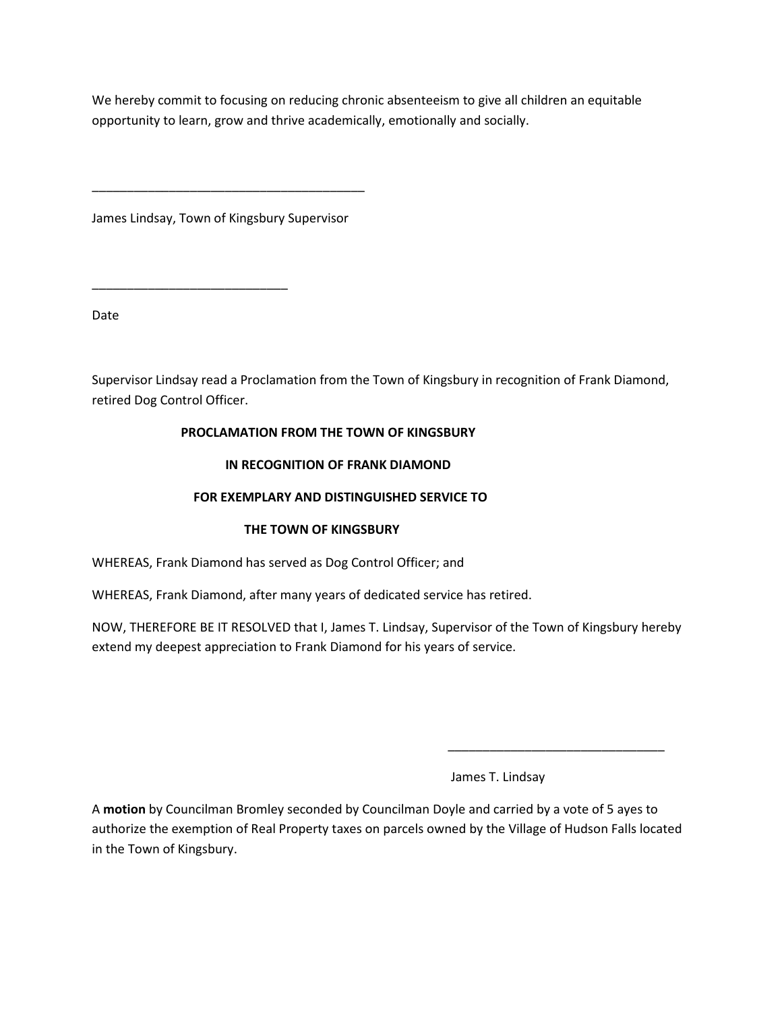We hereby commit to focusing on reducing chronic absenteeism to give all children an equitable opportunity to learn, grow and thrive academically, emotionally and socially.

James Lindsay, Town of Kingsbury Supervisor

\_\_\_\_\_\_\_\_\_\_\_\_\_\_\_\_\_\_\_\_\_\_\_\_\_\_\_\_

\_\_\_\_\_\_\_\_\_\_\_\_\_\_\_\_\_\_\_\_\_\_\_\_\_\_\_\_\_\_\_\_\_\_\_\_\_\_\_

Date

Supervisor Lindsay read a Proclamation from the Town of Kingsbury in recognition of Frank Diamond, retired Dog Control Officer.

## PROCLAMATION FROM THE TOWN OF KINGSBURY

## IN RECOGNITION OF FRANK DIAMOND

## FOR EXEMPLARY AND DISTINGUISHED SERVICE TO

# THE TOWN OF KINGSBURY

WHEREAS, Frank Diamond has served as Dog Control Officer; and

WHEREAS, Frank Diamond, after many years of dedicated service has retired.

NOW, THEREFORE BE IT RESOLVED that I, James T. Lindsay, Supervisor of the Town of Kingsbury hereby extend my deepest appreciation to Frank Diamond for his years of service.

James T. Lindsay

A motion by Councilman Bromley seconded by Councilman Doyle and carried by a vote of 5 ayes to authorize the exemption of Real Property taxes on parcels owned by the Village of Hudson Falls located in the Town of Kingsbury.

 $\overline{\phantom{a}}$  , and the contract of the contract of the contract of the contract of the contract of the contract of the contract of the contract of the contract of the contract of the contract of the contract of the contrac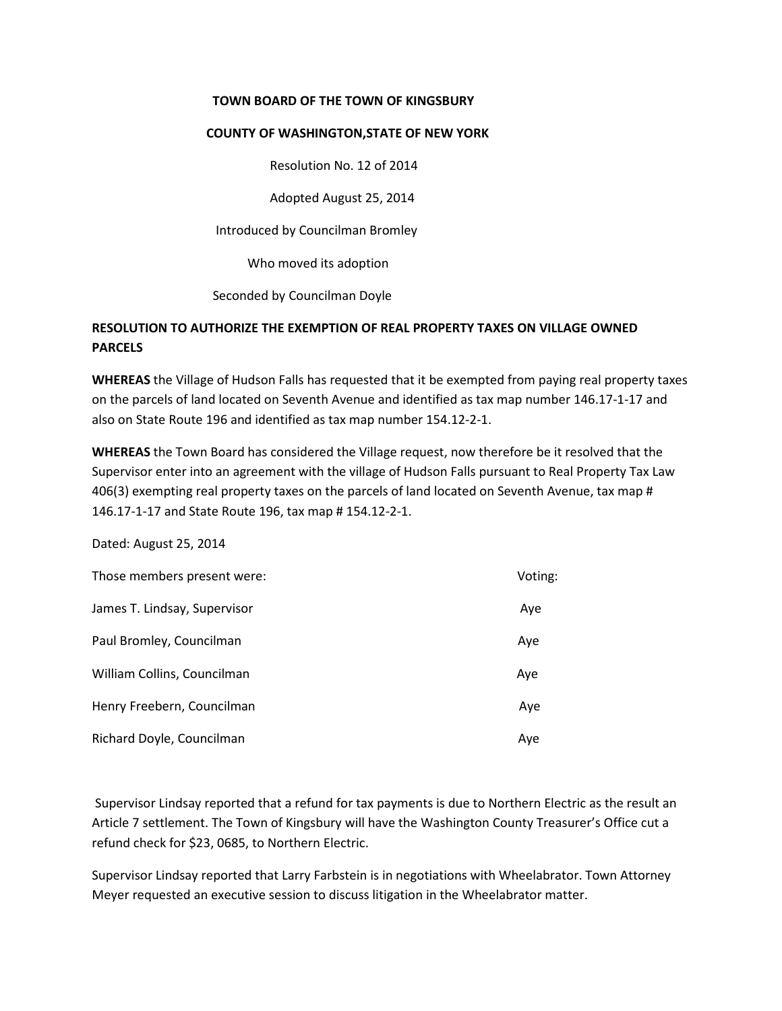### TOWN BOARD OF THE TOWN OF KINGSBURY

#### COUNTY OF WASHINGTON,STATE OF NEW YORK

Resolution No. 12 of 2014

Adopted August 25, 2014

Introduced by Councilman Bromley

Who moved its adoption

Seconded by Councilman Doyle

# RESOLUTION TO AUTHORIZE THE EXEMPTION OF REAL PROPERTY TAXES ON VILLAGE OWNED PARCELS

WHEREAS the Village of Hudson Falls has requested that it be exempted from paying real property taxes on the parcels of land located on Seventh Avenue and identified as tax map number 146.17-1-17 and also on State Route 196 and identified as tax map number 154.12-2-1.

WHEREAS the Town Board has considered the Village request, now therefore be it resolved that the Supervisor enter into an agreement with the village of Hudson Falls pursuant to Real Property Tax Law 406(3) exempting real property taxes on the parcels of land located on Seventh Avenue, tax map # 146.17-1-17 and State Route 196, tax map # 154.12-2-1.

Dated: August 25, 2014

| Those members present were:  | Voting: |
|------------------------------|---------|
| James T. Lindsay, Supervisor | Aye     |
| Paul Bromley, Councilman     | Aye     |
| William Collins, Councilman  | Aye     |
| Henry Freebern, Councilman   | Aye     |
| Richard Doyle, Councilman    | Aye     |

 Supervisor Lindsay reported that a refund for tax payments is due to Northern Electric as the result an Article 7 settlement. The Town of Kingsbury will have the Washington County Treasurer's Office cut a refund check for \$23, 0685, to Northern Electric.

Supervisor Lindsay reported that Larry Farbstein is in negotiations with Wheelabrator. Town Attorney Meyer requested an executive session to discuss litigation in the Wheelabrator matter.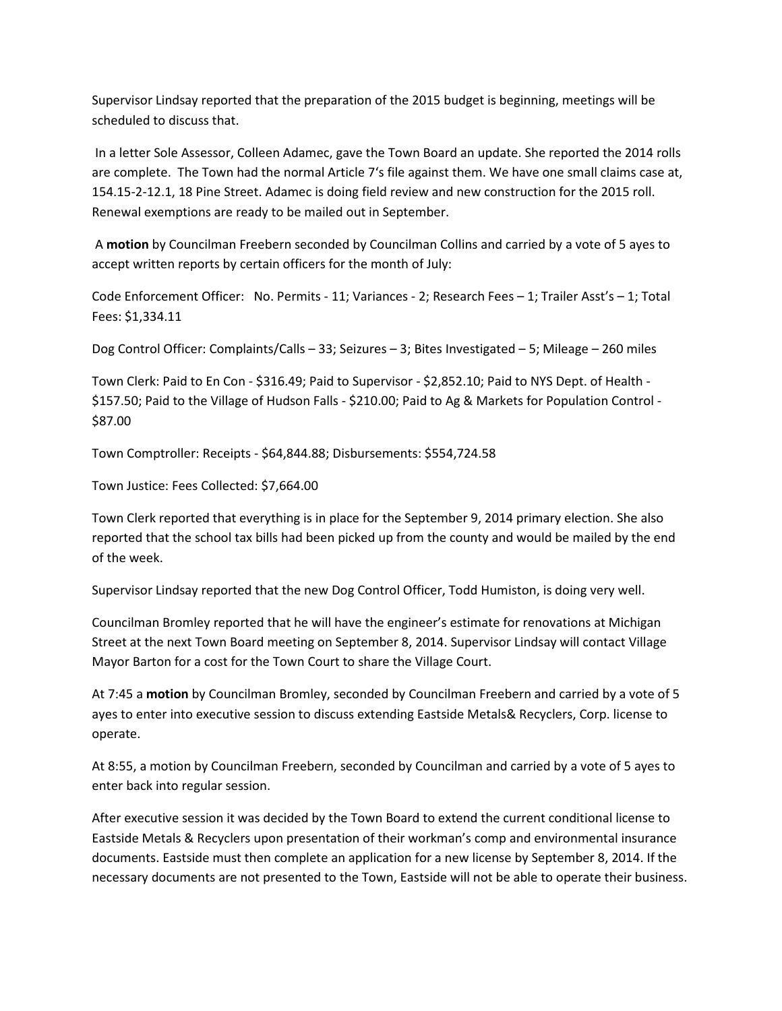Supervisor Lindsay reported that the preparation of the 2015 budget is beginning, meetings will be scheduled to discuss that.

 In a letter Sole Assessor, Colleen Adamec, gave the Town Board an update. She reported the 2014 rolls are complete. The Town had the normal Article 7's file against them. We have one small claims case at, 154.15-2-12.1, 18 Pine Street. Adamec is doing field review and new construction for the 2015 roll. Renewal exemptions are ready to be mailed out in September.

 A motion by Councilman Freebern seconded by Councilman Collins and carried by a vote of 5 ayes to accept written reports by certain officers for the month of July:

Code Enforcement Officer: No. Permits - 11; Variances - 2; Research Fees – 1; Trailer Asst's – 1; Total Fees: \$1,334.11

Dog Control Officer: Complaints/Calls – 33; Seizures – 3; Bites Investigated – 5; Mileage – 260 miles

Town Clerk: Paid to En Con - \$316.49; Paid to Supervisor - \$2,852.10; Paid to NYS Dept. of Health - \$157.50; Paid to the Village of Hudson Falls - \$210.00; Paid to Ag & Markets for Population Control - \$87.00

Town Comptroller: Receipts - \$64,844.88; Disbursements: \$554,724.58

Town Justice: Fees Collected: \$7,664.00

Town Clerk reported that everything is in place for the September 9, 2014 primary election. She also reported that the school tax bills had been picked up from the county and would be mailed by the end of the week.

Supervisor Lindsay reported that the new Dog Control Officer, Todd Humiston, is doing very well.

Councilman Bromley reported that he will have the engineer's estimate for renovations at Michigan Street at the next Town Board meeting on September 8, 2014. Supervisor Lindsay will contact Village Mayor Barton for a cost for the Town Court to share the Village Court.

At 7:45 a motion by Councilman Bromley, seconded by Councilman Freebern and carried by a vote of 5 ayes to enter into executive session to discuss extending Eastside Metals& Recyclers, Corp. license to operate.

At 8:55, a motion by Councilman Freebern, seconded by Councilman and carried by a vote of 5 ayes to enter back into regular session.

After executive session it was decided by the Town Board to extend the current conditional license to Eastside Metals & Recyclers upon presentation of their workman's comp and environmental insurance documents. Eastside must then complete an application for a new license by September 8, 2014. If the necessary documents are not presented to the Town, Eastside will not be able to operate their business.